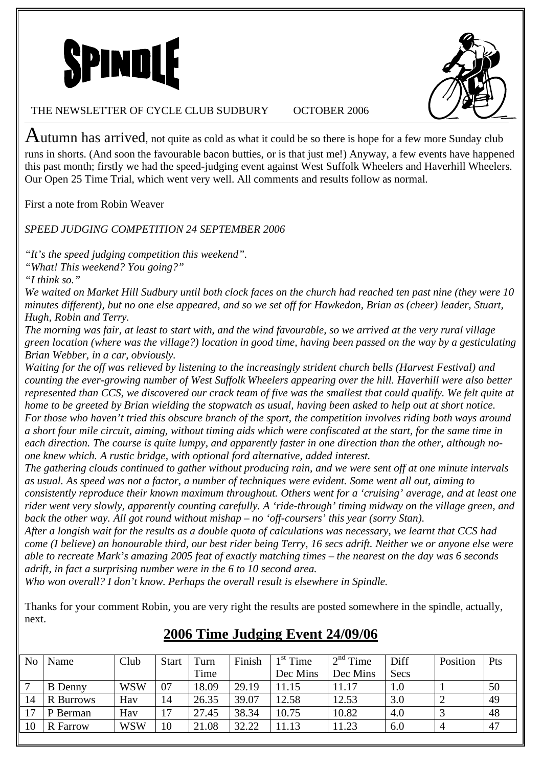

Autumn has arrived, not quite as cold as what it could be so there is hope for a few more Sunday club runs in shorts. (And soon the favourable bacon butties, or is that just me!) Anyway, a few events have happened this past month; firstly we had the speed-judging event against West Suffolk Wheelers and Haverhill Wheelers. Our Open 25 Time Trial, which went very well. All comments and results follow as normal.

First a note from Robin Weaver

*SPEED JUDGING COMPETITION 24 SEPTEMBER 2006* 

*"It's the speed judging competition this weekend".* 

*"What! This weekend? You going?"* 

*"I think so."* 

*We waited on Market Hill Sudbury until both clock faces on the church had reached ten past nine (they were 10 minutes different), but no one else appeared, and so we set off for Hawkedon, Brian as (cheer) leader, Stuart, Hugh, Robin and Terry.* 

*The morning was fair, at least to start with, and the wind favourable, so we arrived at the very rural village green location (where was the village?) location in good time, having been passed on the way by a gesticulating Brian Webber, in a car, obviously.* 

*Waiting for the off was relieved by listening to the increasingly strident church bells (Harvest Festival) and counting the ever-growing number of West Suffolk Wheelers appearing over the hill. Haverhill were also better represented than CCS, we discovered our crack team of five was the smallest that could qualify. We felt quite at home to be greeted by Brian wielding the stopwatch as usual, having been asked to help out at short notice. For those who haven't tried this obscure branch of the sport, the competition involves riding both ways around a short four mile circuit, aiming, without timing aids which were confiscated at the start, for the same time in each direction. The course is quite lumpy, and apparently faster in one direction than the other, although noone knew which. A rustic bridge, with optional ford alternative, added interest.* 

*The gathering clouds continued to gather without producing rain, and we were sent off at one minute intervals as usual. As speed was not a factor, a number of techniques were evident. Some went all out, aiming to consistently reproduce their known maximum throughout. Others went for a 'cruising' average, and at least one rider went very slowly, apparently counting carefully. A 'ride-through' timing midway on the village green, and back the other way. All got round without mishap – no 'off-coursers' this year (sorry Stan).* 

*After a longish wait for the results as a double quota of calculations was necessary, we learnt that CCS had come (I believe) an honourable third, our best rider being Terry, 16 secs adrift. Neither we or anyone else were able to recreate Mark's amazing 2005 feat of exactly matching times – the nearest on the day was 6 seconds adrift, in fact a surprising number were in the 6 to 10 second area.* 

*Who won overall? I don't know. Perhaps the overall result is elsewhere in Spindle.* 

Thanks for your comment Robin, you are very right the results are posted somewhere in the spindle, actually, next.

| No <sub>1</sub> | Name                | Club       | <b>Start</b> | $T$ urn | Finish | $1st$ Time | $2nd$ Time | Diff    | Position | Pts |
|-----------------|---------------------|------------|--------------|---------|--------|------------|------------|---------|----------|-----|
|                 |                     |            |              | Time    |        | Dec Mins   | Dec Mins   | Secs    |          |     |
|                 | <b>B</b> Denny      | <b>WSW</b> | 07           | 18.09   | 29.19  | 11.15      | 11.17      | $1.0\,$ |          | 50  |
| 14              | <b>Burrows</b><br>R | Hav        | 14           | 26.35   | 39.07  | 12.58      | 12.53      | 3.0     |          | 49  |
| $\mathbf{r}$    | P Berman            | Hav        | 17           | 27.45   | 38.34  | 10.75      | 10.82      | 4.0     |          | 48  |
| 10              | <b>R</b> Farrow     | <b>WSW</b> | 10           | 21.08   | 32.22  | 1.13       | 11.23      | 6.0     |          | -47 |

# **2006 Time Judging Event 24/09/06**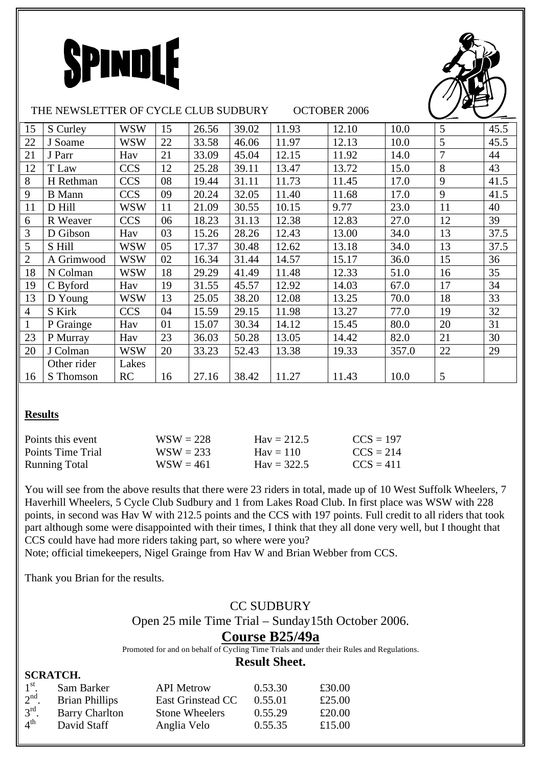



| 15             | S Curley      | <b>WSW</b> | 15 | 26.56 | 39.02 | 11.93 | 12.10 | 10.0  | 5              | 45.5 |
|----------------|---------------|------------|----|-------|-------|-------|-------|-------|----------------|------|
| 22             | J Soame       | <b>WSW</b> | 22 | 33.58 | 46.06 | 11.97 | 12.13 | 10.0  | 5              | 45.5 |
| 21             | J Parr        | Hav        | 21 | 33.09 | 45.04 | 12.15 | 11.92 | 14.0  | $\overline{7}$ | 44   |
| 12             | T Law         | <b>CCS</b> | 12 | 25.28 | 39.11 | 13.47 | 13.72 | 15.0  | 8              | 43   |
| 8              | H Rethman     | <b>CCS</b> | 08 | 19.44 | 31.11 | 11.73 | 11.45 | 17.0  | 9              | 41.5 |
| 9              | <b>B</b> Mann | <b>CCS</b> | 09 | 20.24 | 32.05 | 11.40 | 11.68 | 17.0  | 9              | 41.5 |
| 11             | D Hill        | <b>WSW</b> | 11 | 21.09 | 30.55 | 10.15 | 9.77  | 23.0  | 11             | 40   |
| 6              | R Weaver      | <b>CCS</b> | 06 | 18.23 | 31.13 | 12.38 | 12.83 | 27.0  | 12             | 39   |
| 3              | D Gibson      | Hav        | 03 | 15.26 | 28.26 | 12.43 | 13.00 | 34.0  | 13             | 37.5 |
| 5              | S Hill        | <b>WSW</b> | 05 | 17.37 | 30.48 | 12.62 | 13.18 | 34.0  | 13             | 37.5 |
| $\overline{2}$ | A Grimwood    | <b>WSW</b> | 02 | 16.34 | 31.44 | 14.57 | 15.17 | 36.0  | 15             | 36   |
| 18             | N Colman      | <b>WSW</b> | 18 | 29.29 | 41.49 | 11.48 | 12.33 | 51.0  | 16             | 35   |
| 19             | C Byford      | Hav        | 19 | 31.55 | 45.57 | 12.92 | 14.03 | 67.0  | 17             | 34   |
| 13             | D Young       | <b>WSW</b> | 13 | 25.05 | 38.20 | 12.08 | 13.25 | 70.0  | 18             | 33   |
| $\overline{4}$ | S Kirk        | <b>CCS</b> | 04 | 15.59 | 29.15 | 11.98 | 13.27 | 77.0  | 19             | 32   |
| $\mathbf{1}$   | P Grainge     | Hav        | 01 | 15.07 | 30.34 | 14.12 | 15.45 | 80.0  | 20             | 31   |
| 23             | P Murray      | Hav        | 23 | 36.03 | 50.28 | 13.05 | 14.42 | 82.0  | 21             | 30   |
| 20             | J Colman      | <b>WSW</b> | 20 | 33.23 | 52.43 | 13.38 | 19.33 | 357.0 | 22             | 29   |
|                | Other rider   | Lakes      |    |       |       |       |       |       |                |      |
| 16             | S Thomson     | <b>RC</b>  | 16 | 27.16 | 38.42 | 11.27 | 11.43 | 10.0  | 5              |      |

#### **Results**

**SCRATCH.** 

| Points this event    | $WSW = 228$ | $Hav = 212.5$      | $CCS = 197$ |
|----------------------|-------------|--------------------|-------------|
| Points Time Trial    | $WSW = 233$ | $\text{Hav} = 110$ | $CCS = 214$ |
| <b>Running Total</b> | $WSW = 461$ | $Hav = 322.5$      | $CCS = 411$ |

You will see from the above results that there were 23 riders in total, made up of 10 West Suffolk Wheelers, 7 Haverhill Wheelers, 5 Cycle Club Sudbury and 1 from Lakes Road Club. In first place was WSW with 228 points, in second was Hav W with 212.5 points and the CCS with 197 points. Full credit to all riders that took part although some were disappointed with their times, I think that they all done very well, but I thought that CCS could have had more riders taking part, so where were you?

Note; official timekeepers, Nigel Grainge from Hav W and Brian Webber from CCS.

Thank you Brian for the results.

## CC SUDBURY

Open 25 mile Time Trial – Sunday15th October 2006.

#### **Course B25/49a**

Promoted for and on behalf of Cycling Time Trials and under their Rules and Regulations.

### **Result Sheet.**

|                          | oviva i vili          |                       |         |        |
|--------------------------|-----------------------|-----------------------|---------|--------|
| $1^{\rm st}$             | Sam Barker            | <b>API</b> Metrow     | 0.53.30 | £30.00 |
| 2 <sup>nd</sup>          | <b>Brian Phillips</b> | East Grinstead CC     | 0.55.01 | £25.00 |
| $3^{\text{rd}}$          | <b>Barry Charlton</b> | <b>Stone Wheelers</b> | 0.55.29 | £20.00 |
| $\mathbf{1}^{\text{th}}$ | David Staff           | Anglia Velo           | 0.55.35 | £15.00 |
|                          |                       |                       |         |        |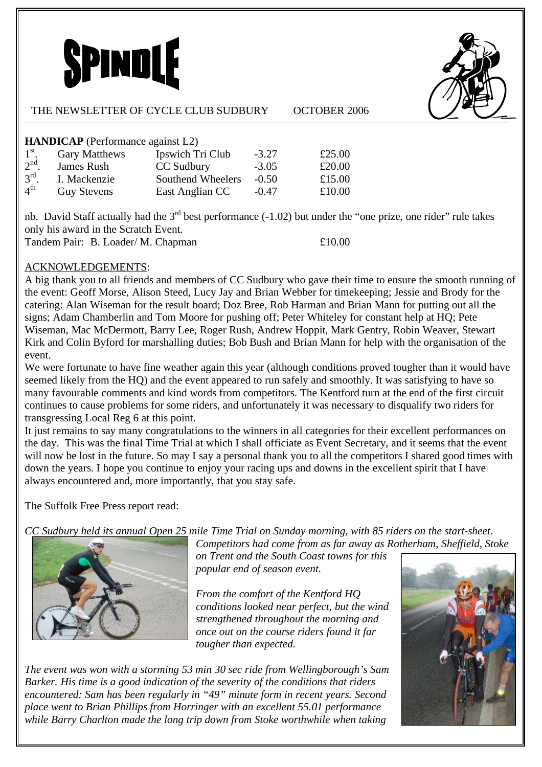



#### **HANDICAP** (Performance against L2)

| $1^{\rm st}$ .    | <b>Gary Matthews</b> | Ipswich Tri Club  | $-3.27$ | £25.00 |
|-------------------|----------------------|-------------------|---------|--------|
| 2 <sup>nd</sup>   | James Rush           | CC Sudbury        | $-3.05$ | £20.00 |
| $3^{\text{rd}}$ . | I. Mackenzie         | Southend Wheelers | $-0.50$ | £15.00 |
| $4^{\text{th}}$   | <b>Guy Stevens</b>   | East Anglian CC   | $-0.47$ | £10.00 |

nb. David Staff actually had the 3<sup>rd</sup> best performance (-1.02) but under the "one prize, one rider" rule takes only his award in the Scratch Event. Tandem Pair: B. Loader/ M. Chapman  $£10.00$ 

### ACKNOWLEDGEMENTS:

A big thank you to all friends and members of CC Sudbury who gave their time to ensure the smooth running of the event: Geoff Morse, Alison Steed, Lucy Jay and Brian Webber for timekeeping; Jessie and Brody for the catering: Alan Wiseman for the result board; Doz Bree, Rob Harman and Brian Mann for putting out all the signs; Adam Chamberlin and Tom Moore for pushing off; Peter Whiteley for constant help at HQ; Pete Wiseman, Mac McDermott, Barry Lee, Roger Rush, Andrew Hoppit, Mark Gentry, Robin Weaver, Stewart Kirk and Colin Byford for marshalling duties; Bob Bush and Brian Mann for help with the organisation of the event.

We were fortunate to have fine weather again this year (although conditions proved tougher than it would have seemed likely from the HQ) and the event appeared to run safely and smoothly. It was satisfying to have so many favourable comments and kind words from competitors. The Kentford turn at the end of the first circuit continues to cause problems for some riders, and unfortunately it was necessary to disqualify two riders for transgressing Local Reg 6 at this point.

It just remains to say many congratulations to the winners in all categories for their excellent performances on the day. This was the final Time Trial at which I shall officiate as Event Secretary, and it seems that the event will now be lost in the future. So may I say a personal thank you to all the competitors I shared good times with down the years. I hope you continue to enjoy your racing ups and downs in the excellent spirit that I have always encountered and, more importantly, that you stay safe.

The Suffolk Free Press report read:

*CC Sudbury held its annual Open 25 mile Time Trial on Sunday morning, with 85 riders on the start-sheet.* 



*Competitors had come from as far away as Rotherham, Sheffield, Stoke on Trent and the South Coast towns for this popular end of season event.* 

*From the comfort of the Kentford HQ conditions looked near perfect, but the wind strengthened throughout the morning and once out on the course riders found it far tougher than expected.* 

*The event was won with a storming 53 min 30 sec ride from Wellingborough's Sam Barker. His time is a good indication of the severity of the conditions that riders encountered: Sam has been regularly in "49" minute form in recent years. Second place went to Brian Phillips from Horringer with an excellent 55.01 performance while Barry Charlton made the long trip down from Stoke worthwhile when taking*